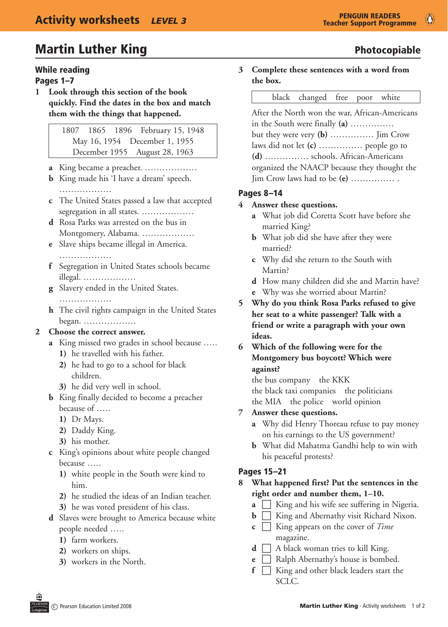## Martin Luther King **Photocopiable** Photocopiable

#### While reading

#### Pages 1–7

**1 Look through this section of the book quickly. Find the dates in the box and match them with the things that happened.**

> 1807 1865 1896 February 15, 1948 May 16, 1954 December 1, 1955 December 1955 August 28, 1963

- **a** King became a preacher. ………………
- **b** King made his 'I have a dream' speech. ……………………
- **c** The United States passed a law that accepted segregation in all states. ………………
- **d** Rosa Parks was arrested on the bus in Montgomery, Alabama. ………………
- **e** Slave ships became illegal in America. …………………
- **f** Segregation in United States schools became illegal. ………………
- **g** Slavery ended in the United States.
	- ………………
- **h** The civil rights campaign in the United States began. ………………

#### **2 Choose the correct answer.**

- **a** King missed two grades in school because …..
	- 1) he travelled with his father.
	- **2)** he had to go to a school for black children.
	- **3)** he did very well in school.
- **b** King finally decided to become a preacher because of …..
	- **1)** Dr Mays.
	- 2) Daddy King.
	- **3**) his mother.
- **c** King's opinions about white people changed because …..
	- **1)** white people in the South were kind to him.
	- **2)** he studied the ideas of an Indian teacher.
	- **3)** he was voted president of his class.
- **d** Slaves were brought to America because white people needed …..
	- **1)** farm workers.
	- 2) workers on ships.
	- **3)** workers in the North.

# **3 Complete these sentences with a word from**

**the box.**

#### black changed free poor white

After the North won the war, African-Americans in the South were finally **(a)** …………… but they were very **(b)** …………… Jim Crow laws did not let **(c)** …………… people go to **(d)** …………… schools. African-Americans organized the NAACP because they thought the Jim Crow laws had to be **(e)** …………… .

#### Pages 8–14

#### **4 Answer these questions.**

- **a** What job did Coretta Scott have before she married King?
- **b** What job did she have after they were married?
- **c**  Why did she return to the South with Martin?
- **d** How many children did she and Martin have?
- **e** Why was she worried about Martin?
- **5 Why do you think Rosa Parks refused to give her seat to a white passenger? Talk with a friend or write a paragraph with your own ideas.**
- **6 Which of the following were for the Montgomery bus boycott? Which were against?**

the bus company the KKK the black taxi companies the politicians the MIA the police world opinion

#### **7 Answer these questions.**

- **a** Why did Henry Thoreau refuse to pay money on his earnings to the US government?
- **b** What did Mahatma Gandhi help to win with his peaceful protests?

#### Pages 15–21

**8 What happened first? Put the sentences in the right order and number them, 1–10.**

- **a I** King and his wife see suffering in Nigeria.
- **b F** King and Abernathy visit Richard Nixon.
- **c I** King appears on the cover of *Time* magazine.
- **d**  $\Box$  A black woman tries to kill King.
- **e**  $\Box$  Ralph Abernathy's house is bombed.
- **f**  $\Box$  King and other black leaders start the SCLC.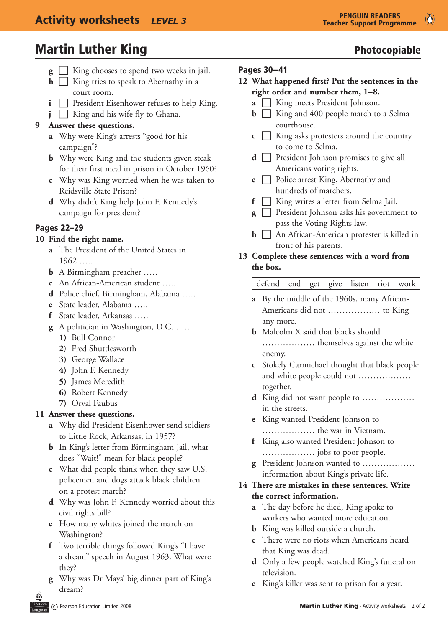## Martin Luther King **Photocopiable** Photocopiable

- **g**  $\Box$  King chooses to spend two weeks in jail.
- $\mathbf{h}$   $\Box$  King tries to speak to Abernathy in a court room.
- **i**  $\Box$  President Eisenhower refuses to help King.
- $\mathbf{i}$   $\Box$  King and his wife fly to Ghana.

#### **9 Answer these questions.**

- **a** Why were King's arrests "good for his campaign"?
- **b** Why were King and the students given steak for their first meal in prison in October 1960?
- **c** Why was King worried when he was taken to Reidsville State Prison?
- **d**  Why didn't King help John F. Kennedy's campaign for president?

### Pages 22–29

#### **10 Find the right name.**

- **a** The President of the United States in 1962 …..
- **b** A Birmingham preacher …..
- **c** An African-American student …..
- **d** Police chief, Birmingham, Alabama …..
- **e** State leader, Alabama …..
- **f** State leader, Arkansas …..
- **g** A politician in Washington, D.C. …..
	- **1)** Bull Connor
	- 2) Fred Shuttlesworth
	- **3)** George Wallace
	- **4)** John F. Kennedy
	- **5)** James Meredith
	- **6)** Robert Kennedy
	- **7)** Orval Faubus

#### **11 Answer these questions.**

- **a** Why did President Eisenhower send soldiers to Little Rock, Arkansas, in 1957?
- **b** In King's letter from Birmingham Jail, what does "Wait!" mean for black people?
- **c**  What did people think when they saw U.S. policemen and dogs attack black children on a protest march?
- **d** Why was John F. Kennedy worried about this civil rights bill?
- **e** How many whites joined the march on Washington?
- **f** Two terrible things followed King's "I have a dream" speech in August 1963. What were they?
- **g** Why was Dr Mays' big dinner part of King's dream?

#### Pages 30–41

- **12 What happened first? Put the sentences in the right order and number them, 1–8.**
	- $\mathbf{a} \Box$  King meets President Johnson.
	- $\mathbf{b}$   $\Box$  King and 400 people march to a Selma courthouse.
	- $\mathbf{c} \ \Box$  King asks protesters around the country to come to Selma.
	- **d President Johnson promises to give all** Americans voting rights.
	- **e Police arrest King, Abernathy and** hundreds of marchers.
	- **f**  $\Box$  King writes a letter from Selma Jail.
	- **g e** President Johnson asks his government to pass the Voting Rights law.
	- **h**  $\Box$  An African-American protester is killed in front of his parents.

#### **13 Complete these sentences with a word from the box.**

#### defend end get give listen riot work

- **a** By the middle of the 1960s, many African-Americans did not ……………… to King any more.
- **b** Malcolm X said that blacks should ……………… themselves against the white enemy.
- **c** Stokely Carmichael thought that black people and white people could not ……………… together.
- **d** King did not want people to ……………… in the streets.
- **e** King wanted President Johnson to ……………… the war in Vietnam.
- **f** King also wanted President Johnson to ……………… jobs to poor people.
- **g** President Johnson wanted to ……………… information about King's private life.

#### **14 There are mistakes in these sentences. Write the correct information.**

- **a** The day before he died, King spoke to workers who wanted more education.
- **b** King was killed outside a church.
- **c** There were no riots when Americans heard that King was dead.
- **d** Only a few people watched King's funeral on television.
- **e** King's killer was sent to prison for a year.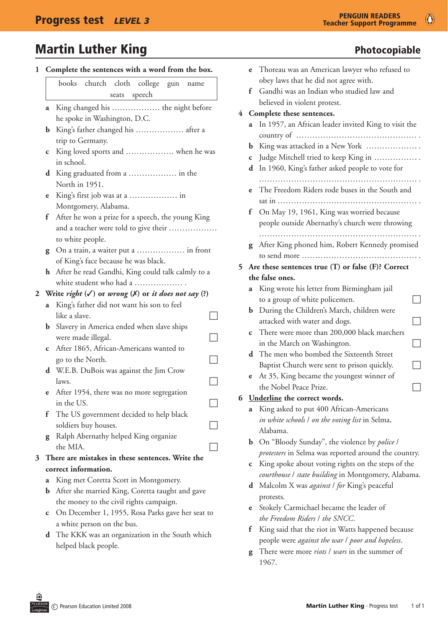## Martin Luther King **Photocopiable** Photocopiable

| $\mathbf{1}$ | Complete the sentences with a word from the box.                | Thoreau was an American lawyer who refused to                                          |
|--------------|-----------------------------------------------------------------|----------------------------------------------------------------------------------------|
|              | books church cloth college gun name                             | obey laws that he did not agree with.<br>Gandhi was an Indian who studied law and<br>f |
|              | speech<br>seats                                                 | believed in violent protest.                                                           |
|              | King changed his  the night before<br>a                         |                                                                                        |
|              | he spoke in Washington, D.C.                                    | 4 Complete these sentences.                                                            |
|              | King's father changed his  after a                              | a In 1957, an African leader invited King to visit the                                 |
|              | trip to Germany.                                                |                                                                                        |
|              | King loved sports and  when he was<br>$\mathbf C$               | King was attacked in a New York<br>b                                                   |
|              | in school.                                                      | Judge Mitchell tried to keep King in<br>C                                              |
|              | King graduated from a  in the<br>d                              | d In 1960, King's father asked people to vote for                                      |
|              | North in 1951.                                                  |                                                                                        |
|              | e                                                               | The Freedom Riders rode buses in the South and                                         |
|              | Montgomery, Alabama.                                            |                                                                                        |
|              | After he won a prize for a speech, the young King<br>f          | f On May 19, 1961, King was worried because                                            |
|              | and a teacher were told to give their                           | people outside Abernathy's church were throwing                                        |
|              | to white people.                                                |                                                                                        |
|              | On a train, a waiter put a  in front<br>g                       | After King phoned him, Robert Kennedy promised<br>g                                    |
|              | of King's face because he was black.                            |                                                                                        |
|              | h After he read Gandhi, King could talk calmly to a             | 5 Are these sentences true (T) or false (F)? Correct                                   |
|              | white student who had a                                         | the false ones.                                                                        |
| $\mathbf{z}$ | Write right $(V)$ or wrong $(X)$ or it does not say $(?)$       | a King wrote his letter from Birmingham jail                                           |
|              | King's father did not want his son to feel<br>a                 | to a group of white policemen.                                                         |
|              | like a slave.                                                   | <b>b</b> During the Children's March, children were                                    |
|              | Slavery in America ended when slave ships<br>$\mathbf b$        | attacked with water and dogs.                                                          |
|              | were made illegal.                                              | There were more than 200,000 black marchers<br>$\mathbf c$                             |
|              | After 1865, African-Americans wanted to<br>C                    | in the March on Washington.                                                            |
|              | go to the North.                                                | The men who bombed the Sixteenth Street<br>d                                           |
|              | d W.E.B. DuBois was against the Jim Crow                        | Baptist Church were sent to prison quickly.                                            |
|              | laws.                                                           | e At 35, King became the youngest winner of                                            |
|              | After 1954, there was no more segregation<br>e                  | the Nobel Peace Prize.                                                                 |
|              | in the US.                                                      | Underline the correct words.<br>6                                                      |
|              | The US government decided to help black<br>f                    | a King asked to put 400 African-Americans                                              |
|              | soldiers buy houses.                                            | in white schools / on the voting list in Selma,                                        |
|              | Ralph Abernathy helped King organize<br>g                       | Alabama.                                                                               |
|              | the MIA.                                                        | On "Bloody Sunday", the violence by police /<br>b                                      |
| 3            | There are mistakes in these sentences. Write the                | protesters in Selma was reported around the country.                                   |
|              | correct information.                                            | King spoke about voting rights on the steps of the<br>C                                |
|              | King met Coretta Scott in Montgomery.<br>a                      | courthouse / state building in Montgomery, Alabama.                                    |
|              | After she married King, Coretta taught and gave<br>b            | Malcolm X was <i>against   for</i> King's peaceful<br>d                                |
|              | the money to the civil rights campaign.                         | protests.                                                                              |
|              | On December 1, 1955, Rosa Parks gave her seat to<br>$\mathbf c$ | Stokely Carmichael became the leader of<br>e                                           |
|              | a white person on the bus.                                      | the Freedom Riders / the SNCC.                                                         |
|              | The KKK was an organization in the South which<br>d             | King said that the riot in Watts happened because<br>t                                 |
|              | helped black people.                                            | people were against the war I poor and hopeless.                                       |
|              |                                                                 | There were more <i>riots   wars</i> in the summer of<br>g                              |

 $\circ$ 

1967.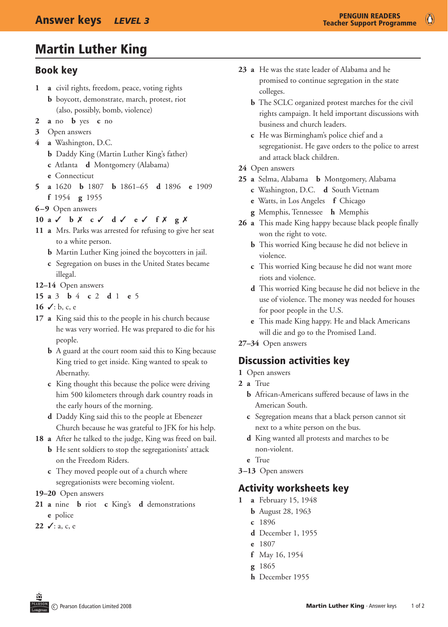## Martin Luther King

### Book key

- **1 a** civil rights, freedom, peace, voting rights
	- **b** boycott, demonstrate, march, protest, riot (also, possibly, bomb, violence)
- **2 a** no **b** yes **c** no
- **3** Open answers
- **4 a** Washington, D.C.
	- **b** Daddy King (Martin Luther King's father)
	- **c** Atlanta **d** Montgomery (Alabama)
	- **e** Connecticut
- **5 a** 1620 **b** 1807 **b** 1861–65 **d** 1896 **e** 1909
	- **f** 1954 **g** 1955
- **6–9** Open answers
- **10 a** 3 **b** 7 **c** 3 **d** 3 **e** 3 **f** 7 **g** 7
- **11 a** Mrs. Parks was arrested for refusing to give her seat to a white person.
	- **b** Martin Luther King joined the boycotters in jail.
	- **c** Segregation on buses in the United States became illegal.
- **12–14** Open answers
- **15 a** 3 **b** 4 **c** 2 **d** 1 **e** 5
- 16  $\checkmark$ : b, c, e
- **17 a** King said this to the people in his church because he was very worried. He was prepared to die for his people.
	- **b** A guard at the court room said this to King because King tried to get inside. King wanted to speak to Abernathy.
	- **c** King thought this because the police were driving him 500 kilometers through dark country roads in the early hours of the morning.
	- **d** Daddy King said this to the people at Ebenezer Church because he was grateful to JFK for his help.
- **18 a** After he talked to the judge, King was freed on bail.
	- **b** He sent soldiers to stop the segregationists' attack on the Freedom Riders.
	- **c** They moved people out of a church where segregationists were becoming violent.
- **19–20** Open answers
- **21 a** nine **b** riot **c** King's **d** demonstrations **e** police
- **22** √: a, c, e
- **23 a** He was the state leader of Alabama and he promised to continue segregation in the state colleges.
	- **b** The SCLC organized protest marches for the civil rights campaign. It held important discussions with business and church leaders.
	- **c** He was Birmingham's police chief and a segregationist. He gave orders to the police to arrest and attack black children.
- **24** Open answers
- **25 a** Selma, Alabama **b** Montgomery, Alabama
	- **c** Washington, D.C. **d** South Vietnam
	- **e** Watts, in Los Angeles **f** Chicago
	- **g** Memphis, Tennessee **h** Memphis
- **26 a** This made King happy because black people finally won the right to vote.
	- **b** This worried King because he did not believe in violence.
	- **c** This worried King because he did not want more riots and violence.
	- **d** This worried King because he did not believe in the use of violence. The money was needed for houses for poor people in the U.S.
	- **e** This made King happy. He and black Americans will die and go to the Promised Land.
- **27–34** Open answers

### Discussion activities key

- 1 Open answers
- **2 a** True
	- **b** African-Americans suffered because of laws in the American South.
	- **c** Segregation means that a black person cannot sit next to a white person on the bus.
	- **d** King wanted all protests and marches to be non-violent.
	- **e**  True
- **3–13** Open answers

### Activity worksheets key

- **1 a** February 15, 1948
	- **b** August 28, 1963
	- **c**  1896
	- **d** December 1, 1955
	- **e** 1807
	- **f**  May 16, 1954
	- **g** 1865
	- **h** December 1955